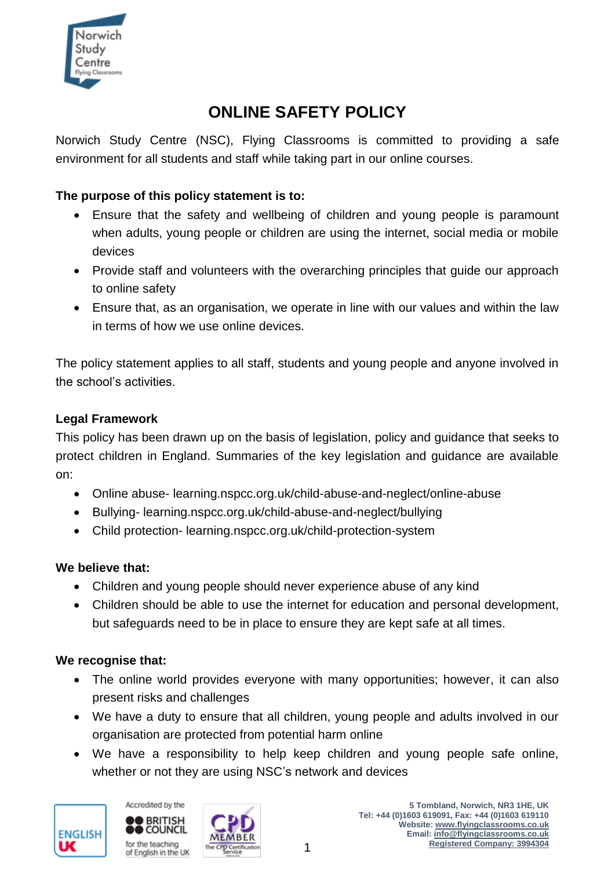

# **ONLINE SAFETY POLICY**

Norwich Study Centre (NSC), Flying Classrooms is committed to providing a safe environment for all students and staff while taking part in our online courses.

# **The purpose of this policy statement is to:**

- Ensure that the safety and wellbeing of children and young people is paramount when adults, young people or children are using the internet, social media or mobile devices
- Provide staff and volunteers with the overarching principles that guide our approach to online safety
- Ensure that, as an organisation, we operate in line with our values and within the law in terms of how we use online devices.

The policy statement applies to all staff, students and young people and anyone involved in the school's activities.

### **Legal Framework**

This policy has been drawn up on the basis of legislation, policy and guidance that seeks to protect children in England. Summaries of the key legislation and guidance are available on:

- Online abuse- learning.nspcc.org.uk/child-abuse-and-neglect/online-abuse
- Bullying- learning.nspcc.org.uk/child-abuse-and-neglect/bullying
- Child protection- learning.nspcc.org.uk/child-protection-system

# **We believe that:**

- Children and young people should never experience abuse of any kind
- Children should be able to use the internet for education and personal development, but safeguards need to be in place to ensure they are kept safe at all times.

# **We recognise that:**

- The online world provides everyone with many opportunities; however, it can also present risks and challenges
- We have a duty to ensure that all children, young people and adults involved in our organisation are protected from potential harm online
- We have a responsibility to help keep children and young people safe online, whether or not they are using NSC's network and devices